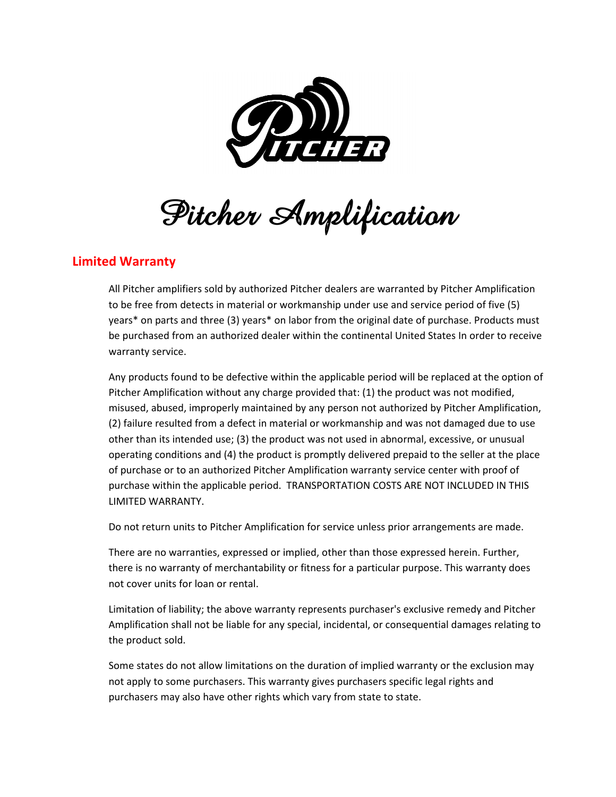

**Pitcher Amplification**

## **Limited Warranty**

All Pitcher amplifiers sold by authorized Pitcher dealers are warranted by Pitcher Amplification to be free from detects in material or workmanship under use and service period of five (5) years\* on parts and three (3) years\* on labor from the original date of purchase. Products must be purchased from an authorized dealer within the continental United States In order to receive warranty service.

Any products found to be defective within the applicable period will be replaced at the option of Pitcher Amplification without any charge provided that: (1) the product was not modified, misused, abused, improperly maintained by any person not authorized by Pitcher Amplification, (2) failure resulted from a defect in material or workmanship and was not damaged due to use other than its intended use; (3) the product was not used in abnormal, excessive, or unusual operating conditions and (4) the product is promptly delivered prepaid to the seller at the place of purchase or to an authorized Pitcher Amplification warranty service center with proof of purchase within the applicable period. TRANSPORTATION COSTS ARE NOT INCLUDED IN THIS LIMITED WARRANTY.

Do not return units to Pitcher Amplification for service unless prior arrangements are made.

There are no warranties, expressed or implied, other than those expressed herein. Further, there is no warranty of merchantability or fitness for a particular purpose. This warranty does not cover units for loan or rental.

Limitation of liability; the above warranty represents purchaser's exclusive remedy and Pitcher Amplification shall not be liable for any special, incidental, or consequential damages relating to the product sold.

Some states do not allow limitations on the duration of implied warranty or the exclusion may not apply to some purchasers. This warranty gives purchasers specific legal rights and purchasers may also have other rights which vary from state to state.